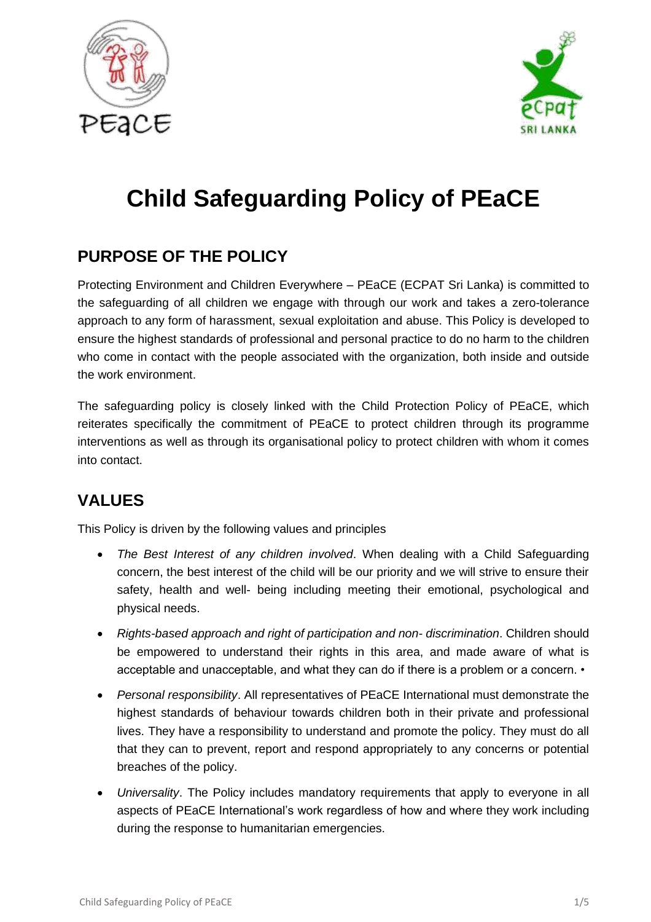



# **Child Safeguarding Policy of PEaCE**

## **PURPOSE OF THE POLICY**

Protecting Environment and Children Everywhere – PEaCE (ECPAT Sri Lanka) is committed to the safeguarding of all children we engage with through our work and takes a zero-tolerance approach to any form of harassment, sexual exploitation and abuse. This Policy is developed to ensure the highest standards of professional and personal practice to do no harm to the children who come in contact with the people associated with the organization, both inside and outside the work environment.

The safeguarding policy is closely linked with the Child Protection Policy of PEaCE, which reiterates specifically the commitment of PEaCE to protect children through its programme interventions as well as through its organisational policy to protect children with whom it comes into contact.

# **VALUES**

This Policy is driven by the following values and principles

- *The Best Interest of any children involved*. When dealing with a Child Safeguarding concern, the best interest of the child will be our priority and we will strive to ensure their safety, health and well- being including meeting their emotional, psychological and physical needs.
- *Rights-based approach and right of participation and non- discrimination*. Children should be empowered to understand their rights in this area, and made aware of what is acceptable and unacceptable, and what they can do if there is a problem or a concern. •
- *Personal responsibility*. All representatives of PEaCE International must demonstrate the highest standards of behaviour towards children both in their private and professional lives. They have a responsibility to understand and promote the policy. They must do all that they can to prevent, report and respond appropriately to any concerns or potential breaches of the policy.
- *Universality*. The Policy includes mandatory requirements that apply to everyone in all aspects of PEaCE International's work regardless of how and where they work including during the response to humanitarian emergencies.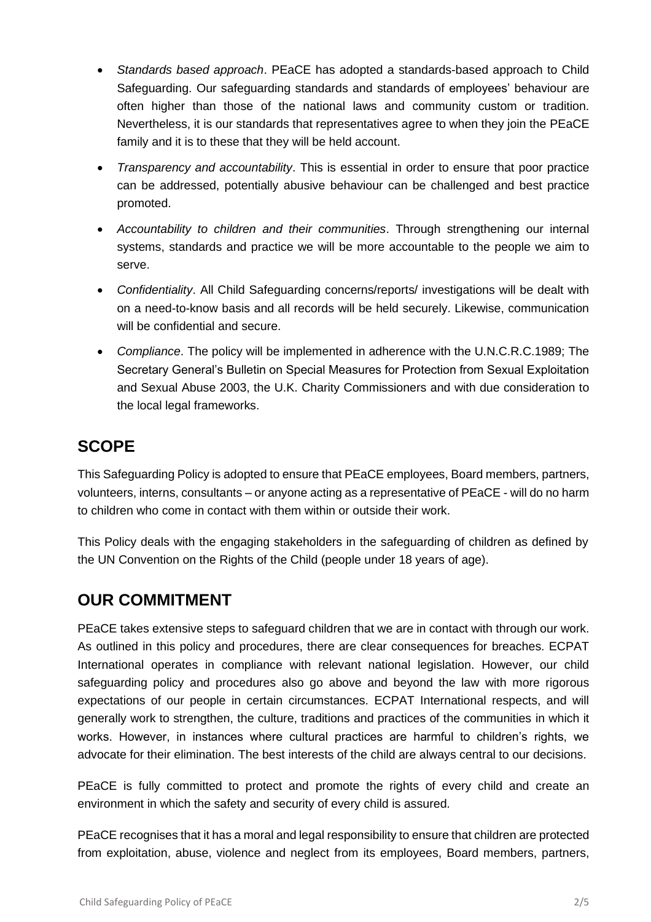- *Standards based approach*. PEaCE has adopted a standards-based approach to Child Safeguarding. Our safeguarding standards and standards of employees' behaviour are often higher than those of the national laws and community custom or tradition. Nevertheless, it is our standards that representatives agree to when they join the PEaCE family and it is to these that they will be held account.
- *Transparency and accountability*. This is essential in order to ensure that poor practice can be addressed, potentially abusive behaviour can be challenged and best practice promoted.
- *Accountability to children and their communities*. Through strengthening our internal systems, standards and practice we will be more accountable to the people we aim to serve.
- *Confidentiality*. All Child Safeguarding concerns/reports/ investigations will be dealt with on a need-to-know basis and all records will be held securely. Likewise, communication will be confidential and secure.
- *Compliance*. The policy will be implemented in adherence with the U.N.C.R.C.1989; The Secretary General's Bulletin on Special Measures for Protection from Sexual Exploitation and Sexual Abuse 2003, the U.K. Charity Commissioners and with due consideration to the local legal frameworks.

# **SCOPE**

This Safeguarding Policy is adopted to ensure that PEaCE employees, Board members, partners, volunteers, interns, consultants – or anyone acting as a representative of PEaCE - will do no harm to children who come in contact with them within or outside their work.

This Policy deals with the engaging stakeholders in the safeguarding of children as defined by the UN Convention on the Rights of the Child (people under 18 years of age).

# **OUR COMMITMENT**

PEaCE takes extensive steps to safeguard children that we are in contact with through our work. As outlined in this policy and procedures, there are clear consequences for breaches. ECPAT International operates in compliance with relevant national legislation. However, our child safeguarding policy and procedures also go above and beyond the law with more rigorous expectations of our people in certain circumstances. ECPAT International respects, and will generally work to strengthen, the culture, traditions and practices of the communities in which it works. However, in instances where cultural practices are harmful to children's rights, we advocate for their elimination. The best interests of the child are always central to our decisions.

PEaCE is fully committed to protect and promote the rights of every child and create an environment in which the safety and security of every child is assured.

PEaCE recognises that it has a moral and legal responsibility to ensure that children are protected from exploitation, abuse, violence and neglect from its employees, Board members, partners,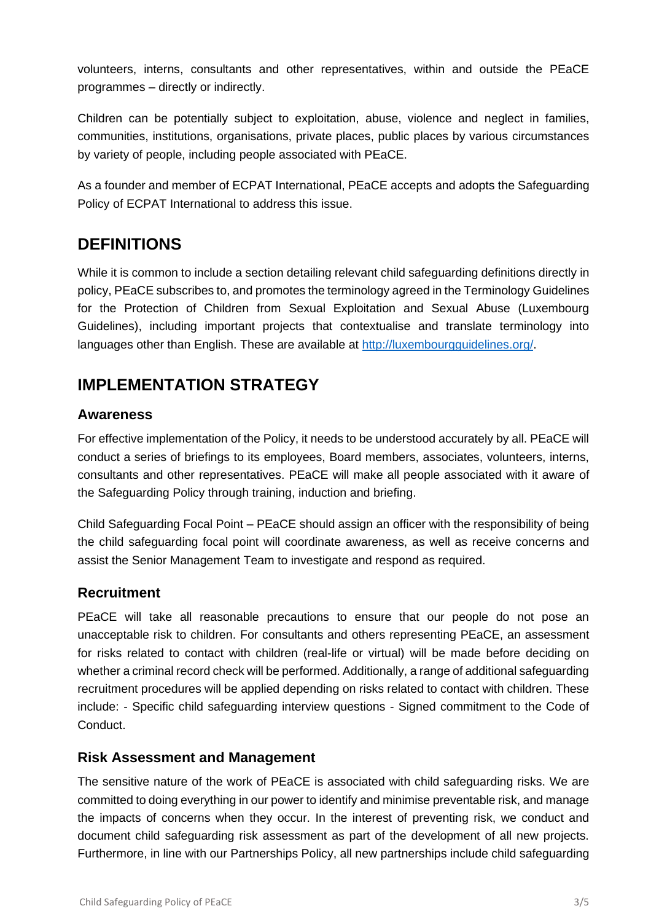volunteers, interns, consultants and other representatives, within and outside the PEaCE programmes – directly or indirectly.

Children can be potentially subject to exploitation, abuse, violence and neglect in families, communities, institutions, organisations, private places, public places by various circumstances by variety of people, including people associated with PEaCE.

As a founder and member of ECPAT International, PEaCE accepts and adopts the Safeguarding Policy of ECPAT International to address this issue.

## **DEFINITIONS**

While it is common to include a section detailing relevant child safeguarding definitions directly in policy, PEaCE subscribes to, and promotes the terminology agreed in the Terminology Guidelines for the Protection of Children from Sexual Exploitation and Sexual Abuse (Luxembourg Guidelines), including important projects that contextualise and translate terminology into languages other than English. These are available at [http://luxembourgguidelines.org/.](about:blank)

# **IMPLEMENTATION STRATEGY**

### **Awareness**

For effective implementation of the Policy, it needs to be understood accurately by all. PEaCE will conduct a series of briefings to its employees, Board members, associates, volunteers, interns, consultants and other representatives. PEaCE will make all people associated with it aware of the Safeguarding Policy through training, induction and briefing.

Child Safeguarding Focal Point – PEaCE should assign an officer with the responsibility of being the child safeguarding focal point will coordinate awareness, as well as receive concerns and assist the Senior Management Team to investigate and respond as required.

#### **Recruitment**

PEaCE will take all reasonable precautions to ensure that our people do not pose an unacceptable risk to children. For consultants and others representing PEaCE, an assessment for risks related to contact with children (real-life or virtual) will be made before deciding on whether a criminal record check will be performed. Additionally, a range of additional safeguarding recruitment procedures will be applied depending on risks related to contact with children. These include: - Specific child safeguarding interview questions - Signed commitment to the Code of Conduct.

#### **Risk Assessment and Management**

The sensitive nature of the work of PEaCE is associated with child safeguarding risks. We are committed to doing everything in our power to identify and minimise preventable risk, and manage the impacts of concerns when they occur. In the interest of preventing risk, we conduct and document child safeguarding risk assessment as part of the development of all new projects. Furthermore, in line with our Partnerships Policy, all new partnerships include child safeguarding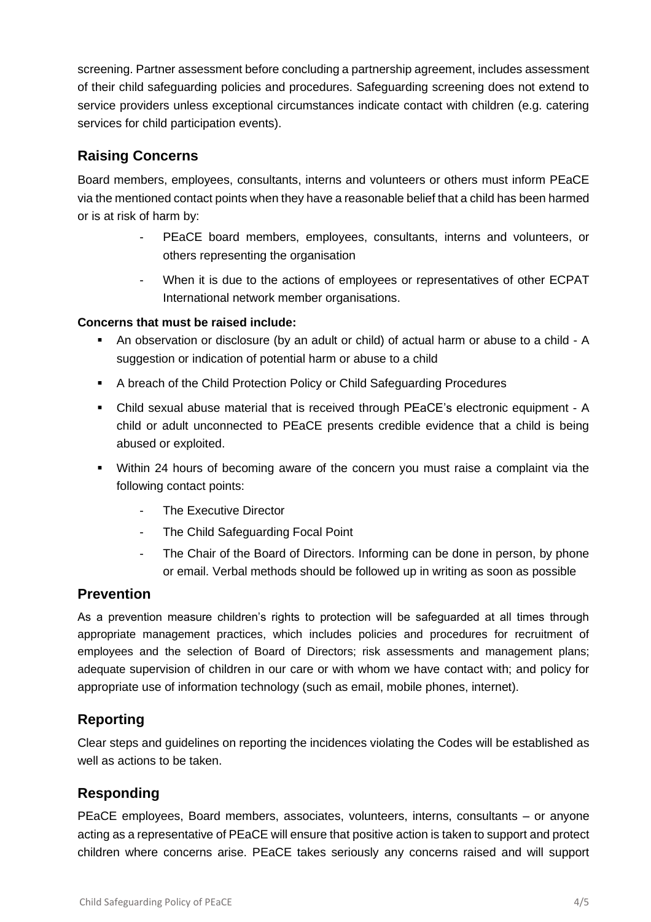screening. Partner assessment before concluding a partnership agreement, includes assessment of their child safeguarding policies and procedures. Safeguarding screening does not extend to service providers unless exceptional circumstances indicate contact with children (e.g. catering services for child participation events).

### **Raising Concerns**

Board members, employees, consultants, interns and volunteers or others must inform PEaCE via the mentioned contact points when they have a reasonable belief that a child has been harmed or is at risk of harm by:

- PEaCE board members, employees, consultants, interns and volunteers, or others representing the organisation
- When it is due to the actions of employees or representatives of other ECPAT International network member organisations.

#### **Concerns that must be raised include:**

- An observation or disclosure (by an adult or child) of actual harm or abuse to a child A suggestion or indication of potential harm or abuse to a child
- A breach of the Child Protection Policy or Child Safeguarding Procedures
- Child sexual abuse material that is received through PEaCE's electronic equipment A child or adult unconnected to PEaCE presents credible evidence that a child is being abused or exploited.
- Within 24 hours of becoming aware of the concern you must raise a complaint via the following contact points:
	- The Executive Director
	- The Child Safeguarding Focal Point
	- The Chair of the Board of Directors. Informing can be done in person, by phone or email. Verbal methods should be followed up in writing as soon as possible

#### **Prevention**

As a prevention measure children's rights to protection will be safeguarded at all times through appropriate management practices, which includes policies and procedures for recruitment of employees and the selection of Board of Directors; risk assessments and management plans; adequate supervision of children in our care or with whom we have contact with; and policy for appropriate use of information technology (such as email, mobile phones, internet).

### **Reporting**

Clear steps and guidelines on reporting the incidences violating the Codes will be established as well as actions to be taken.

### **Responding**

PEaCE employees, Board members, associates, volunteers, interns, consultants – or anyone acting as a representative of PEaCE will ensure that positive action is taken to support and protect children where concerns arise. PEaCE takes seriously any concerns raised and will support